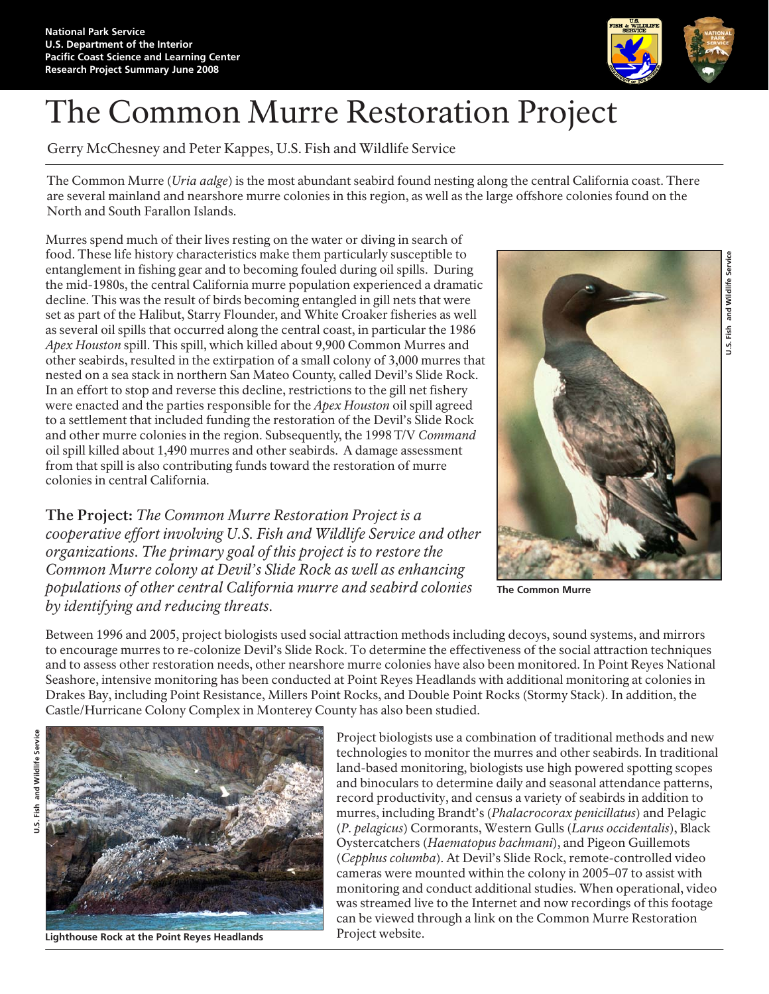

## The Common Murre Restoration Project

Gerry McChesney and Peter Kappes, U.S. Fish and Wildlife Service

The Common Murre (*Uria aalge*) is the most abundant seabird found nesting along the central California coast. There are several mainland and nearshore murre colonies in this region, as well as the large offshore colonies found on the North and South Farallon Islands.

Murres spend much of their lives resting on the water or diving in search of food. These life history characteristics make them particularly susceptible to entanglement in fishing gear and to becoming fouled during oil spills. During the mid-1980s, the central California murre population experienced a dramatic decline. This was the result of birds becoming entangled in gill nets that were set as part of the Halibut, Starry Flounder, and White Croaker fisheries as well as several oil spills that occurred along the central coast, in particular the 1986 *Apex Houston* spill. This spill, which killed about 9,900 Common Murres and other seabirds, resulted in the extirpation of a small colony of 3,000 murres that nested on a sea stack in northern San Mateo County, called Devil's Slide Rock. In an effort to stop and reverse this decline, restrictions to the gill net fishery were enacted and the parties responsible for the *Apex Houston* oil spill agreed to a settlement that included funding the restoration of the Devil's Slide Rock and other murre colonies in the region. Subsequently, the 1998 T/V *Command* oil spill killed about 1,490 murres and other seabirds. A damage assessment from that spill is also contributing funds toward the restoration of murre colonies in central California.

**The Project:** *The Common Murre Restoration Project is a cooperative effort involving U.S. Fish and Wildlife Service and other organizations. The primary goal of this project is to restore the Common Murre colony at Devil's Slide Rock as well as enhancing populations of other central California murre and seabird colonies by identifying and reducing threats.*



**The Common Murre** 

Between 1996 and 2005, project biologists used social attraction methods including decoys, sound systems, and mirrors to encourage murres to re-colonize Devil's Slide Rock. To determine the effectiveness of the social attraction techniques and to assess other restoration needs, other nearshore murre colonies have also been monitored. In Point Reyes National Seashore, intensive monitoring has been conducted at Point Reyes Headlands with additional monitoring at colonies in Drakes Bay, including Point Resistance, Millers Point Rocks, and Double Point Rocks (Stormy Stack). In addition, the Castle/Hurricane Colony Complex in Monterey County has also been studied.



**Lighthouse Rock at the Point Reyes Headlands**

Project biologists use a combination of traditional methods and new technologies to monitor the murres and other seabirds. In traditional land-based monitoring, biologists use high powered spotting scopes and binoculars to determine daily and seasonal attendance patterns, record productivity, and census a variety of seabirds in addition to murres, including Brandt's (*Phalacrocorax penicillatus*) and Pelagic (*P. pelagicus*) Cormorants, Western Gulls (*Larus occidentalis*), Black Oystercatchers (*Haematopus bachmani*), and Pigeon Guillemots (*Cepphus columba*). At Devil's Slide Rock, remote-controlled video cameras were mounted within the colony in 2005–07 to assist with monitoring and conduct additional studies. When operational, video was streamed live to the Internet and now recordings of this footage can be viewed through a link on the Common Murre Restoration Project website.